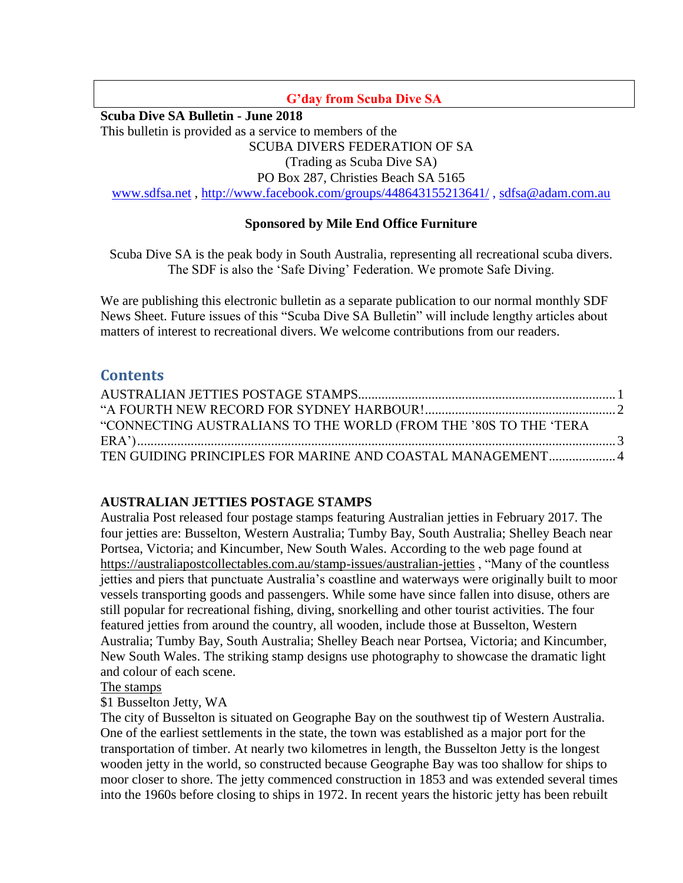### **G'day from Scuba Dive SA**

**Scuba Dive SA Bulletin - June 2018**

This bulletin is provided as a service to members of the

SCUBA DIVERS FEDERATION OF SA

(Trading as Scuba Dive SA)

PO Box 287, Christies Beach SA 5165

[www.sdfsa.net](http://www.sdfsa.net/) ,<http://www.facebook.com/groups/448643155213641/> , [sdfsa@adam.com.au](mailto:sdfsa@adam.com.au)

### **Sponsored by Mile End Office Furniture**

Scuba Dive SA is the peak body in South Australia, representing all recreational scuba divers. The SDF is also the 'Safe Diving' Federation. We promote Safe Diving.

We are publishing this electronic bulletin as a separate publication to our normal monthly SDF News Sheet. Future issues of this "Scuba Dive SA Bulletin" will include lengthy articles about matters of interest to recreational divers. We welcome contributions from our readers.

# **Contents**

| "CONNECTING AUSTRALIANS TO THE WORLD (FROM THE '80S TO THE 'TERA |  |
|------------------------------------------------------------------|--|
|                                                                  |  |
| TEN GUIDING PRINCIPLES FOR MARINE AND COASTAL MANAGEMENT 4       |  |

### <span id="page-0-0"></span>**AUSTRALIAN JETTIES POSTAGE STAMPS**

Australia Post released four postage stamps featuring Australian jetties in February 2017. The four jetties are: Busselton, Western Australia; Tumby Bay, South Australia; Shelley Beach near Portsea, Victoria; and Kincumber, New South Wales. According to the web page found at <https://australiapostcollectables.com.au/stamp-issues/australian-jetties> , "Many of the countless jetties and piers that punctuate Australia's coastline and waterways were originally built to moor vessels transporting goods and passengers. While some have since fallen into disuse, others are still popular for recreational fishing, diving, snorkelling and other tourist activities. The four featured jetties from around the country, all wooden, include those at Busselton, Western Australia; Tumby Bay, South Australia; Shelley Beach near Portsea, Victoria; and Kincumber, New South Wales. The striking stamp designs use photography to showcase the dramatic light and colour of each scene.

#### The stamps

### \$1 Busselton Jetty, WA

The city of Busselton is situated on Geographe Bay on the southwest tip of Western Australia. One of the earliest settlements in the state, the town was established as a major port for the transportation of timber. At nearly two kilometres in length, the Busselton Jetty is the longest wooden jetty in the world, so constructed because Geographe Bay was too shallow for ships to moor closer to shore. The jetty commenced construction in 1853 and was extended several times into the 1960s before closing to ships in 1972. In recent years the historic jetty has been rebuilt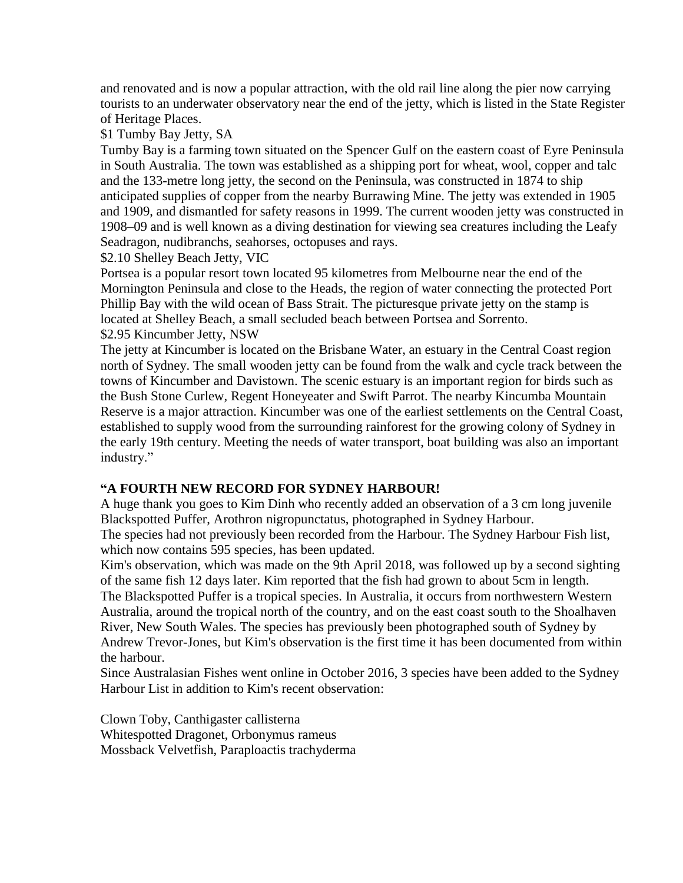and renovated and is now a popular attraction, with the old rail line along the pier now carrying tourists to an underwater observatory near the end of the jetty, which is listed in the State Register of Heritage Places.

\$1 Tumby Bay Jetty, SA

Tumby Bay is a farming town situated on the Spencer Gulf on the eastern coast of Eyre Peninsula in South Australia. The town was established as a shipping port for wheat, wool, copper and talc and the 133-metre long jetty, the second on the Peninsula, was constructed in 1874 to ship anticipated supplies of copper from the nearby Burrawing Mine. The jetty was extended in 1905 and 1909, and dismantled for safety reasons in 1999. The current wooden jetty was constructed in 1908–09 and is well known as a diving destination for viewing sea creatures including the Leafy Seadragon, nudibranchs, seahorses, octopuses and rays.

\$2.10 Shelley Beach Jetty, VIC

Portsea is a popular resort town located 95 kilometres from Melbourne near the end of the Mornington Peninsula and close to the Heads, the region of water connecting the protected Port Phillip Bay with the wild ocean of Bass Strait. The picturesque private jetty on the stamp is located at Shelley Beach, a small secluded beach between Portsea and Sorrento. \$2.95 Kincumber Jetty, NSW

The jetty at Kincumber is located on the Brisbane Water, an estuary in the Central Coast region north of Sydney. The small wooden jetty can be found from the walk and cycle track between the towns of Kincumber and Davistown. The scenic estuary is an important region for birds such as the Bush Stone Curlew, Regent Honeyeater and Swift Parrot. The nearby Kincumba Mountain Reserve is a major attraction. Kincumber was one of the earliest settlements on the Central Coast, established to supply wood from the surrounding rainforest for the growing colony of Sydney in the early 19th century. Meeting the needs of water transport, boat building was also an important industry."

#### <span id="page-1-0"></span>**"A FOURTH NEW RECORD FOR SYDNEY HARBOUR!**

A huge thank you goes to Kim Dinh who recently added an observation of a 3 cm long juvenile Blackspotted Puffer, Arothron nigropunctatus, photographed in Sydney Harbour. The species had not previously been recorded from the Harbour. The Sydney Harbour Fish list,

which now contains 595 species, has been updated.

Kim's observation, which was made on the 9th April 2018, was followed up by a second sighting of the same fish 12 days later. Kim reported that the fish had grown to about 5cm in length. The Blackspotted Puffer is a tropical species. In Australia, it occurs from northwestern Western Australia, around the tropical north of the country, and on the east coast south to the Shoalhaven River, New South Wales. The species has previously been photographed south of Sydney by Andrew Trevor-Jones, but Kim's observation is the first time it has been documented from within the harbour.

Since Australasian Fishes went online in October 2016, 3 species have been added to the Sydney Harbour List in addition to Kim's recent observation:

Clown Toby, Canthigaster callisterna Whitespotted Dragonet, Orbonymus rameus Mossback Velvetfish, Paraploactis trachyderma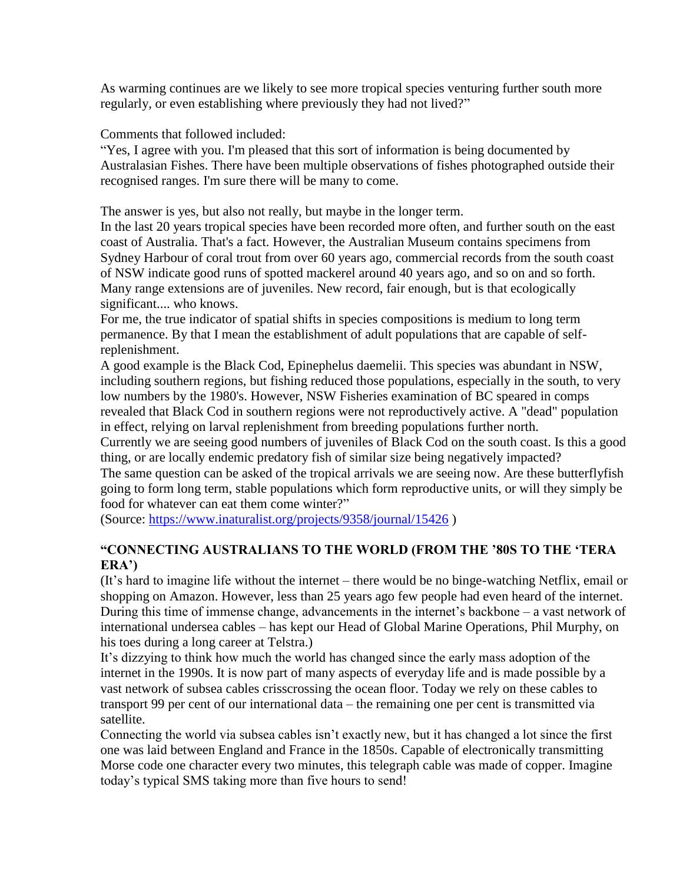As warming continues are we likely to see more tropical species venturing further south more regularly, or even establishing where previously they had not lived?"

Comments that followed included:

"Yes, I agree with you. I'm pleased that this sort of information is being documented by Australasian Fishes. There have been multiple observations of fishes photographed outside their recognised ranges. I'm sure there will be many to come.

The answer is yes, but also not really, but maybe in the longer term.

In the last 20 years tropical species have been recorded more often, and further south on the east coast of Australia. That's a fact. However, the Australian Museum contains specimens from Sydney Harbour of coral trout from over 60 years ago, commercial records from the south coast of NSW indicate good runs of spotted mackerel around 40 years ago, and so on and so forth. Many range extensions are of juveniles. New record, fair enough, but is that ecologically significant.... who knows.

For me, the true indicator of spatial shifts in species compositions is medium to long term permanence. By that I mean the establishment of adult populations that are capable of selfreplenishment.

A good example is the Black Cod, Epinephelus daemelii. This species was abundant in NSW, including southern regions, but fishing reduced those populations, especially in the south, to very low numbers by the 1980's. However, NSW Fisheries examination of BC speared in comps revealed that Black Cod in southern regions were not reproductively active. A "dead" population in effect, relying on larval replenishment from breeding populations further north.

Currently we are seeing good numbers of juveniles of Black Cod on the south coast. Is this a good thing, or are locally endemic predatory fish of similar size being negatively impacted?

The same question can be asked of the tropical arrivals we are seeing now. Are these butterflyfish going to form long term, stable populations which form reproductive units, or will they simply be food for whatever can eat them come winter?"

(Source:<https://www.inaturalist.org/projects/9358/journal/15426> )

## <span id="page-2-0"></span>**"CONNECTING AUSTRALIANS TO THE WORLD (FROM THE '80S TO THE 'TERA ERA')**

(It's hard to imagine life without the internet – there would be no binge-watching Netflix, email or shopping on Amazon. However, less than 25 years ago few people had even heard of the internet. During this time of immense change, advancements in the internet's backbone – a vast network of international undersea cables – has kept our Head of Global Marine Operations, Phil Murphy, on his toes during a long career at Telstra.)

It's dizzying to think how much the world has changed since the early mass adoption of the internet in the 1990s. It is now part of many aspects of everyday life and is made possible by a vast network of subsea cables crisscrossing the ocean floor. Today we rely on these cables to transport 99 per cent of our international data – the remaining one per cent is transmitted via satellite.

Connecting the world via subsea cables isn't exactly new, but it has changed a lot since the first one was laid between England and France in the 1850s. Capable of electronically transmitting Morse code one character every two minutes, this telegraph cable was made of copper. Imagine today's typical SMS taking more than five hours to send!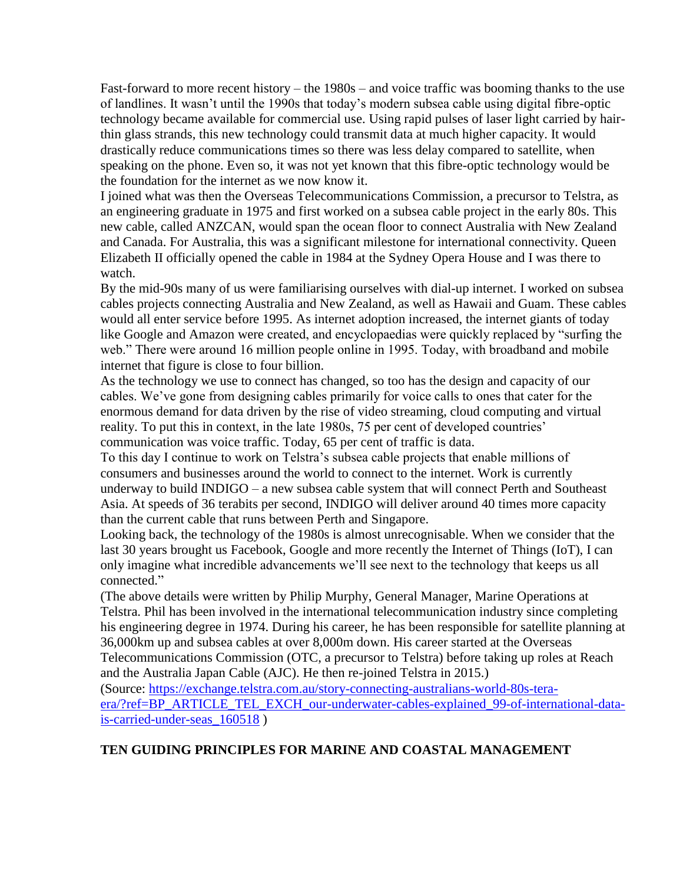Fast-forward to more recent history – the 1980s – and voice traffic was booming thanks to the use of landlines. It wasn't until the 1990s that today's modern subsea cable using digital fibre-optic technology became available for commercial use. Using rapid pulses of laser light carried by hairthin glass strands, this new technology could transmit data at much higher capacity. It would drastically reduce communications times so there was less delay compared to satellite, when speaking on the phone. Even so, it was not yet known that this fibre-optic technology would be the foundation for the internet as we now know it.

I joined what was then the Overseas Telecommunications Commission, a precursor to Telstra, as an engineering graduate in 1975 and first worked on a subsea cable project in the early 80s. This new cable, called ANZCAN, would span the ocean floor to connect Australia with New Zealand and Canada. For Australia, this was a significant milestone for international connectivity. Queen Elizabeth II officially opened the cable in 1984 at the Sydney Opera House and I was there to watch.

By the mid-90s many of us were familiarising ourselves with dial-up internet. I worked on subsea cables projects connecting Australia and New Zealand, as well as Hawaii and Guam. These cables would all enter service before 1995. As internet adoption increased, the internet giants of today like Google and Amazon were created, and encyclopaedias were quickly replaced by "surfing the web." There were around 16 million people online in 1995. Today, with broadband and mobile internet that figure is close to four billion.

As the technology we use to connect has changed, so too has the design and capacity of our cables. We've gone from designing cables primarily for voice calls to ones that cater for the enormous demand for data driven by the rise of video streaming, cloud computing and virtual reality. To put this in context, in the late 1980s, 75 per cent of developed countries' communication was voice traffic. Today, 65 per cent of traffic is data.

To this day I continue to work on Telstra's subsea cable projects that enable millions of consumers and businesses around the world to connect to the internet. Work is currently underway to build INDIGO – a new subsea cable system that will connect Perth and Southeast Asia. At speeds of 36 terabits per second, INDIGO will deliver around 40 times more capacity than the current cable that runs between Perth and Singapore.

Looking back, the technology of the 1980s is almost unrecognisable. When we consider that the last 30 years brought us Facebook, Google and more recently the Internet of Things (IoT), I can only imagine what incredible advancements we'll see next to the technology that keeps us all connected."

(The above details were written by Philip Murphy, General Manager, Marine Operations at Telstra. Phil has been involved in the international telecommunication industry since completing his engineering degree in 1974. During his career, he has been responsible for satellite planning at 36,000km up and subsea cables at over 8,000m down. His career started at the Overseas Telecommunications Commission (OTC, a precursor to Telstra) before taking up roles at Reach and the Australia Japan Cable (AJC). He then re-joined Telstra in 2015.)

(Source: [https://exchange.telstra.com.au/story-connecting-australians-world-80s-tera](https://exchange.telstra.com.au/story-connecting-australians-world-80s-tera-era/?ref=BP_ARTICLE_TEL_EXCH_our-underwater-cables-explained_99-of-international-data-is-carried-under-seas_160518)[era/?ref=BP\\_ARTICLE\\_TEL\\_EXCH\\_our-underwater-cables-explained\\_99-of-international-data](https://exchange.telstra.com.au/story-connecting-australians-world-80s-tera-era/?ref=BP_ARTICLE_TEL_EXCH_our-underwater-cables-explained_99-of-international-data-is-carried-under-seas_160518)[is-carried-under-seas\\_160518](https://exchange.telstra.com.au/story-connecting-australians-world-80s-tera-era/?ref=BP_ARTICLE_TEL_EXCH_our-underwater-cables-explained_99-of-international-data-is-carried-under-seas_160518) )

#### <span id="page-3-0"></span>**TEN GUIDING PRINCIPLES FOR MARINE AND COASTAL MANAGEMENT**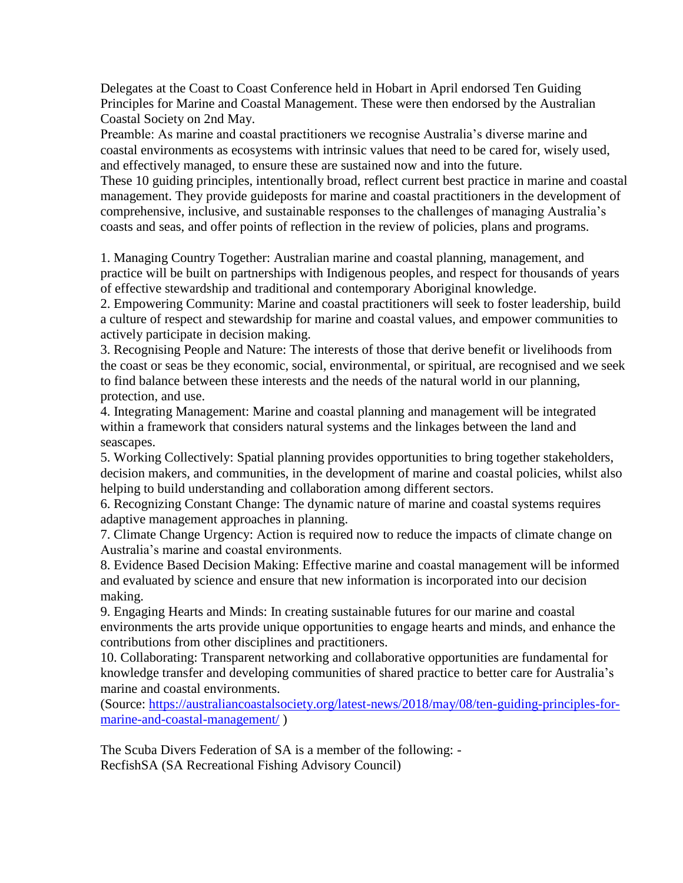Delegates at the Coast to Coast Conference held in Hobart in April endorsed Ten Guiding Principles for Marine and Coastal Management. These were then endorsed by the Australian Coastal Society on 2nd May.

Preamble: As marine and coastal practitioners we recognise Australia's diverse marine and coastal environments as ecosystems with intrinsic values that need to be cared for, wisely used, and effectively managed, to ensure these are sustained now and into the future.

These 10 guiding principles, intentionally broad, reflect current best practice in marine and coastal management. They provide guideposts for marine and coastal practitioners in the development of comprehensive, inclusive, and sustainable responses to the challenges of managing Australia's coasts and seas, and offer points of reflection in the review of policies, plans and programs.

1. Managing Country Together: Australian marine and coastal planning, management, and practice will be built on partnerships with Indigenous peoples, and respect for thousands of years of effective stewardship and traditional and contemporary Aboriginal knowledge.

2. Empowering Community: Marine and coastal practitioners will seek to foster leadership, build a culture of respect and stewardship for marine and coastal values, and empower communities to actively participate in decision making.

3. Recognising People and Nature: The interests of those that derive benefit or livelihoods from the coast or seas be they economic, social, environmental, or spiritual, are recognised and we seek to find balance between these interests and the needs of the natural world in our planning, protection, and use.

4. Integrating Management: Marine and coastal planning and management will be integrated within a framework that considers natural systems and the linkages between the land and seascapes.

5. Working Collectively: Spatial planning provides opportunities to bring together stakeholders, decision makers, and communities, in the development of marine and coastal policies, whilst also helping to build understanding and collaboration among different sectors.

6. Recognizing Constant Change: The dynamic nature of marine and coastal systems requires adaptive management approaches in planning.

7. Climate Change Urgency: Action is required now to reduce the impacts of climate change on Australia's marine and coastal environments.

8. Evidence Based Decision Making: Effective marine and coastal management will be informed and evaluated by science and ensure that new information is incorporated into our decision making.

9. Engaging Hearts and Minds: In creating sustainable futures for our marine and coastal environments the arts provide unique opportunities to engage hearts and minds, and enhance the contributions from other disciplines and practitioners.

10. Collaborating: Transparent networking and collaborative opportunities are fundamental for knowledge transfer and developing communities of shared practice to better care for Australia's marine and coastal environments.

(Source: [https://australiancoastalsociety.org/latest-news/2018/may/08/ten-guiding-principles-for](https://australiancoastalsociety.org/latest-news/2018/may/08/ten-guiding-principles-for-marine-and-coastal-management/)[marine-and-coastal-management/](https://australiancoastalsociety.org/latest-news/2018/may/08/ten-guiding-principles-for-marine-and-coastal-management/) )

The Scuba Divers Federation of SA is a member of the following: - RecfishSA (SA Recreational Fishing Advisory Council)